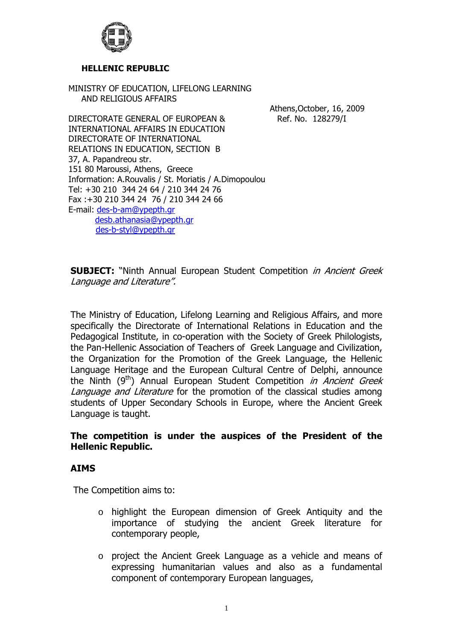

#### **HELLENIC REPUBLIC**

MINISTRY OF EDUCATION, LIFELONG LEARNING AND RELIGIOUS AFFAIRS

Athens,October, 16, 2009

DIRECTORATE GENERAL OF EUROPEAN & Ref. No. 128279/I INTERNATIONAL AFFAIRS IN EDUCATION DIRECTORATE OF INTERNATIONAL RELATIONS IN EDUCATION, SECTION B 37, A. Papandreou str. 151 80 Maroussi, Athens, Greece Information: A.Rouvalis / St. Moriatis/ A.Dimopoulou Tel: +30 210 344 24 64 / 210 344 24 76 Fax :+30 210 344 24 76 / 210 344 24 66 E-mail: [des-b-am@ypepth.gr](mailto:des-a@ypepth.gr)  [desb.athanasia@ypepth.gr](mailto:desb.athanasia@ypepth.gr)

[des-b-styl@ypepth.gr](mailto:des-b-styl@ypepth.gr)

**SUBJECT:** "Ninth Annual European Student Competition in Ancient Greek Language and Literature".

The Ministry of Education, Lifelong Learning and Religious Affairs, and more specifically the Directorate of International Relations in Education and the Pedagogical Institute, in co-operation with the Society of Greek Philologists, the Pan-Hellenic Association of Teachers of Greek Language and Civilization, the Organization for the Promotion of the Greek Language, the Hellenic Language Heritage and the European Cultural Centre of Delphi, announce the Ninth  $(9<sup>th</sup>)$  Annual European Student Competition *in Ancient Greek* Language and Literature for the promotion of the classical studies among students of Upper Secondary Schools in Europe, where the Ancient Greek Language is taught.

## **The competition is under the auspices of the President of the Hellenic Republic.**

#### **AIMS**

The Competition aims to:

- o highlight the European dimension of Greek Antiquity and the importance of studying the ancient Greek literature for contemporary people,
- o project the Ancient Greek Language as a vehicle and means of expressing humanitarian values and also as a fundamental component of contemporary European languages,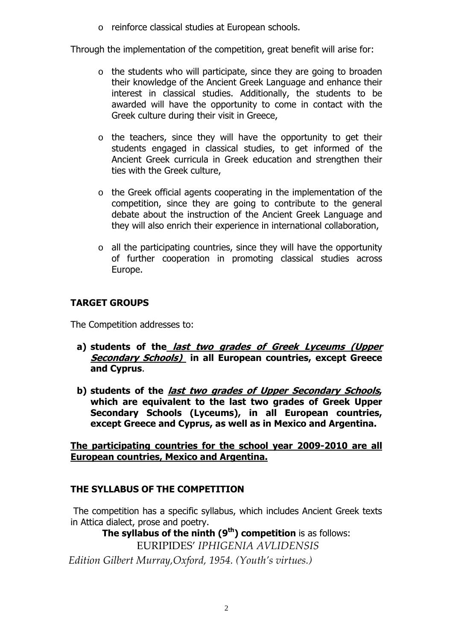o reinforce classical studies at European schools.

Through the implementation of the competition, great benefit will arise for:

- o the students who will participate, since they are going to broaden their knowledge of the Ancient Greek Language and enhance their interest in classical studies. Additionally, the students to be awarded will have the opportunity to come in contact with the Greek culture during their visit in Greece,
- o the teachers, since they will have the opportunity to get their students engaged in classical studies, to get informed of the Ancient Greek curricula in Greek education and strengthen their ties with the Greek culture,
- o the Greek official agents cooperating in the implementation of the competition, since they are going to contribute to the general debate about the instruction of the Ancient Greek Language and they will also enrich their experience in international collaboration,
- o all the participating countries, since they will have the opportunity of further cooperation in promoting classical studies across Europe.

# **TARGET GROUPS**

The Competition addresses to:

- **a) students of the last two grades of Greek Lyceums (Upper Secondary Schools) in all European countries, except Greece and Cyprus**.
- **b) students of the last two grades of Upper Secondary Schools, which are equivalent to the last two grades of Greek Upper Secondary Schools (Lyceums), in all European countries, except Greece and Cyprus, as well as in Mexico and Argentina.**

**The participating countries for the school year 2009-2010 are all European countries, Mexico and Argentina.** 

# **THE SYLLABUS OF THE COMPETITION**

The competition has a specific syllabus, which includes Ancient Greek texts in Attica dialect, prose and poetry.

**The syllabus of the ninth (9<sup>th</sup>) competition** is as follows:

EURIPIDES' *IPHIGENIA AVLIDENSIS*

*Edition Gilbert Murray,Oxford, 1954. (Youth's virtues.)*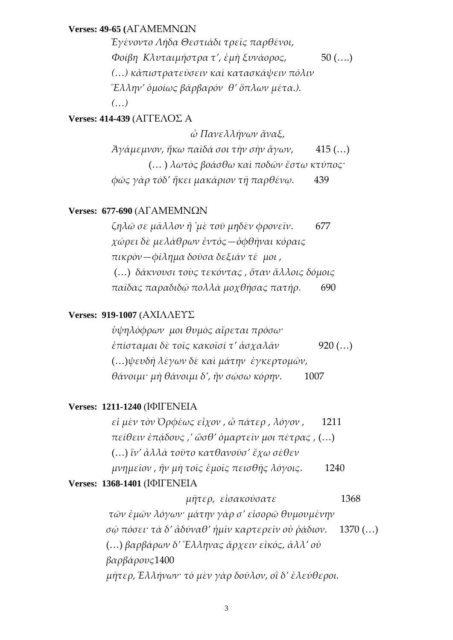#### **Verses: 49-65 (**ΑΓΑΜΕΜΝΩΝ

*Ἐγένοντο Λήδᾳ Θεστιάδι τρεῖς παρθένοι, Φοίβη Κλυταιμήστρα τ', ἐμὴ ξυνάορος,*  50 (….) *(…) κἀπιστρατεύσειν καὶ κατασκάψειν πόλιν Ἕλλην' ὁμοίως βάρβαρόν θ' ὅπλων μέτα.). (…)*

## **Verses: 414-439** (ΑΓΓΕΛΟΣ Α

 *ὦ Πανελλήνων ἄναξ, Ἀγάμεμνον, ἥκω παῖδά σοι τὴν σὴν ἄγων,*  415 (…) (… ) *λωτὸς βοάσθω καὶ ποδῶν ἔστω κτύπος· φῶς γὰρ τόδ' ἥκει μακάριον τῇ παρθένῳ.* 439

#### **Verses: 677-690** (ΑΓΑΜΕΜΝΩΝ

*ζηλῶ σε μᾶλλον ἢ ᾿μὲ τοῦ μηδὲν φρονεῖν*. 677 *χώρει δὲ μελάθρων ἐντός—ὀφθῆναι κόραις πικρὸν—φίλημα δοῦσα δεξιάν τέ μοι ,* (…) *δάκνουσι τοὺς τεκόντας , ὅταν ἄλλοις δόμοις παῖδας παραδιδῷ πολλὰ μοχθήσας πατήρ.*  690

#### **Verses: 919-1007** (ΑΧΙΛΛΕΥΣ

*ὑψηλόφρων μοι θυμὸς αἴρεται πρόσω· ἐπίσταμαι δὲ τοῖς κακοῖσί τ' ἀσχαλᾶν*  920 (…) (…)*ψευδῆ λέγων δὲ καὶ μάτην ἐγκερτομῶν, θάνοιμι· μὴ θάνοιμι δ', ἢν σῴσω κόρην.* 1007

#### **Verses: 1211-1240** (ΙΦΙΓΕΝΕΙΑ

*εἰ μὲν τὸν Ὀρφέως εἶχον , ὦ πάτερ , λόγον ,*  1211 *πείθειν ἐπᾴδους ,' ὥσθ' ὁμαρτεῖν μοι πέτρας ,* (…) (…) *ἵν' ἀλλὰ τοῦτο κατθανοῦσ' ἔχω σέθεν μνημεῖον , ἢν μὴ τοῖς ἐμοῖς πεισθῇς λόγοις.*  1240

## **Verses: 1368-1401** (ΙΦΙΓΕΝΕΙΑ

 *μῆτερ, εἰσακούσατε*  1368  *τῶν ἐμῶν λόγων· μάτην γὰρ σ' εἰσορῶ θυμουμένην σῷ πόσει· τὰ δ' ἀδύναθ' ἡμῖν καρτερεῖν οὐ ῥᾴδιον.* 1370 (…) (…) *βαρβάρων δ' Ἕλληνας ἄρχειν εἰκός, ἀλλ' οὐ βαρβάρους*1400 *μῆτερ, Ἑλλήνων· τὸ μὲν γὰρ δοῦλον, οἳ δ' ἐλεύθεροι.*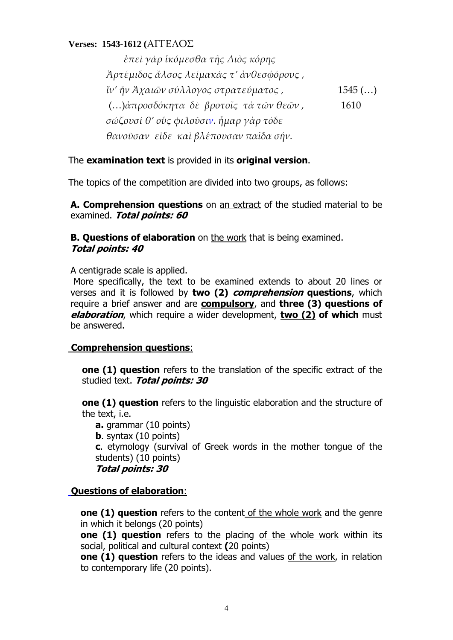## **Verses: 1543-1612 (**ΑΓΓΕΛΟΣ

 *ἐπεὶ γὰρ ἱκόμεσθα τῆς Διὸς κόρης Ἀρτέμιδος ἄλσος λείμακάς τ' ἀνθεσφόρους , ἵν' ἦν Ἀχαιῶν σύλλογος στρατεύματος ,* 1545 (…) (…)*ἀπροσδόκητα δὲ βροτοῖς τὰ τῶν θεῶν ,* 1610 *σώζουσί θ' οὓς φιλοῦσιν. ἦμαρ γὰρ τόδε θανοῦσαν εἶδε καὶ βλέπουσαν παῖδα σήν.*

## The **examination text** is provided in its **original version**.

The topics of the competition are divided into two groups, as follows:

**Α. Comprehension questions** on an extract of the studied material to be examined. **Total points: 60**

**B. Questions of elaboration** on the work that is being examined. **Total points: 40** 

A centigrade scale is applied.

 More specifically, the text to be examined extends to about 20 lines or verses and it is followed by **two (2) comprehension questions**, which require a brief answer and are **compulsory**, and **three (3) questions of elaboration**, which require a wider development, **two (2) of which** must be answered.

## **Comprehension questions**:

**one (1) question** refers to the translation of the specific extract of the studied text. **Total points: 30**

**one (1) question** refers to the linguistic elaboration and the structure of the text, i.e.

**a.** grammar (10 points)

**b**. syntax (10 points)

**c**. etymology (survival of Greek words in the mother tongue of the students) (10 points)

#### **Total points: 30**

## **Questions of elaboration**:

**one (1) question** refers to the content of the whole work and the genre in which it belongs (20 points)

**one (1) question** refers to the placing of the whole work within its social, political and cultural context **(**20 points)

**one (1) question** refers to the ideas and values of the work, in relation to contemporary life (20 points).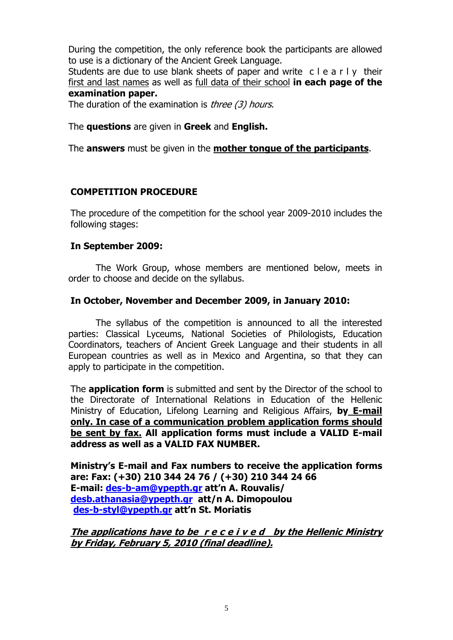During the competition, the only reference book the participants are allowed to use is a dictionary of the Ancient Greek Language.

Students are due to use blank sheets of paper and write c l e a r l y their first and last names as well as full data of their school **in each page of the examination paper.** 

The duration of the examination is *three (3) hours*.

#### The **questions** are given in **Greek** and **English.**

The **answers** must be given in the **mother tongue of the participants**.

## **COMPETITION PROCEDURE**

The procedure of the competition for the school year 2009-2010 includes the following stages:

#### **In September 2009:**

The Work Group, whose members are mentioned below, meets in order to choose and decide on the syllabus.

#### **In October, November and December 2009, in January 2010:**

 The syllabus of the competition is announced to all the interested parties: Classical Lyceums, National Societies of Philologists, Education Coordinators, teachers of Ancient Greek Language and their students in all European countries as well as in Mexico and Argentina, so that they can apply to participate in the competition.

The **application form** is submitted and sent by the Director of the school to the Directorate of International Relations in Education of the Hellenic Ministry of Education, Lifelong Learning and Religious Affairs, **by Ε-mail only. In case of a communication problem application forms should be sent by fax. All application forms must include a VALID E-mail address as well as a VALID FAX NUMBER.** 

**Ministry's E-mail and Fax numbers to receive the application forms are: Fax: (+30) 210 344 24 76 / (+30) 210 344 24 66 E-mail: [des-b-am@ypepth.gr](mailto:des-b-am@ypepth.gr) att'n A. Rouvalis/ [desb.athanasia@ypepth.gr](mailto:desb.athanasia@ypepth.gr) att/n A. Dimopoulou [des-b-styl@ypepth.gr](mailto:des-b-styl@ypepth.gr) att'n St. Moriatis** 

**The applications have to be r e c e i v e d by the Hellenic Ministry by Friday, February 5, 2010 (final deadline).**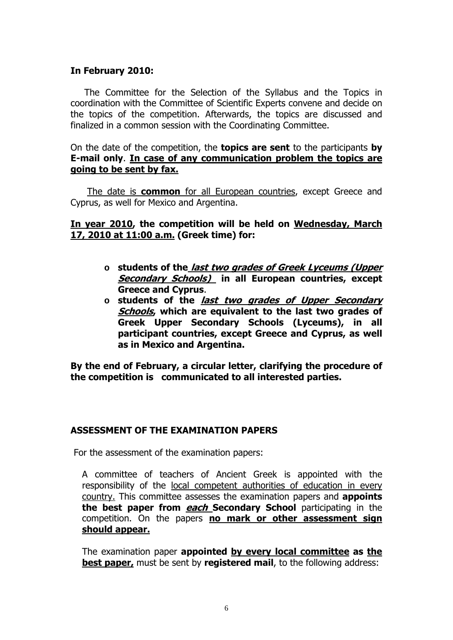## **In February 2010:**

The Committee for the Selection of the Syllabus and the Topics in coordination with the Committee of Scientific Experts convene and decide on the topics of the competition. Afterwards, the topics are discussed and finalized in a common session with the Coordinating Committee.

#### On the date of the competition, the **topics are sent** to the participants **by Ε-mail only**. **In case of any communication problem the topics are going to be sent by fax.**

Τhe date is **common** for all European countries, except Greece and Cyprus, as well for Mexico and Argentina.

## **In year 2010, the competition will be held on Wednesday, March 17, 2010 at 11:00 a.m. (Greek time) for:**

- **o students of the last two grades of Greek Lyceums (Upper Secondary Schools) in all European countries, except Greece and Cyprus**.
- **o students of the last two grades of Upper Secondary Schools, which are equivalent to the last two grades of Greek Upper Secondary Schools (Lyceums), in all participant countries, except Greece and Cyprus, as well as in Mexico and Argentina.**

**By the end of February, a circular letter, clarifying the procedure of the competition is communicated to all interested parties.**

## **ASSESSMENT OF THE EXAMINATION PAPERS**

For the assessment of the examination papers:

A committee of teachers of Ancient Greek is appointed with the responsibility of the local competent authorities of education in every country. This committee assesses the examination papers and **appoints the best paper from each Secondary School** participating in the competition. On the papers **no mark or other assessment sign should appear.**

The examination paper **appointed by every local committee as the best paper,** must be sent by **registered mail**, to the following address: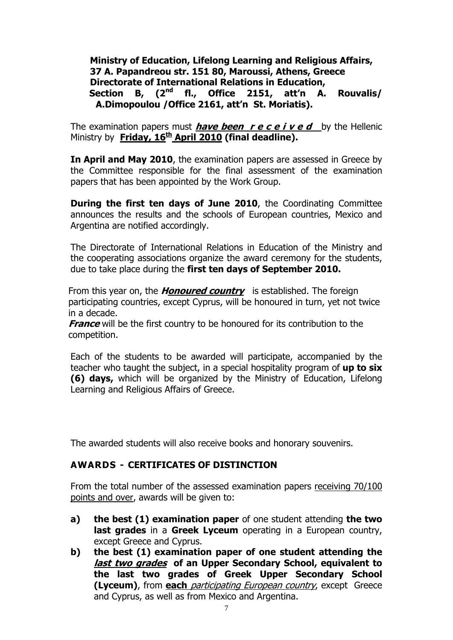## **Ministry of Education, Lifelong Learning and Religious Affairs, 37 A. Papandreou str. 151 80, Maroussi, Athens, Greece Directorate of International Relations in Education, Section B, (2nd fl., Office 2151, att'n A. Rouvalis/ A.Dimopoulou /Office 2161, att'n St. Moriatis).**

The examination papers must **have been r e c e i v e d** by the Hellenic Ministry by **Friday, 16<sup>th</sup> April 2010 (final deadline).** 

**In April and May 2010**, the examination papers are assessed in Greece by the Committee responsible for the final assessment of the examination papers that has been appointed by the Work Group.

**During the first ten days of June 2010**, the Coordinating Committee announces the results and the schools of European countries, Mexico and Argentina are notified accordingly.

The Directorate of International Relations in Education of the Ministry and the cooperating associations organize the award ceremony for the students, due to take place during the **first ten days of September 2010.** 

From this year on, the **Honoured country** is established. The foreign participating countries, except Cyprus, will be honoured in turn, yet not twice in a decade.

**France** will be the first country to be honoured for its contribution to the competition.

Each of the students to be awarded will participate, accompanied by the teacher who taught the subject, in a special hospitality program of **up to six (6) days,** which will be organized by the Ministry of Education, Lifelong Learning and Religious Affairs of Greece.

The awarded students will also receive books and honorary souvenirs.

## **AWARDS - CERTIFICATES OF DISTINCTION**

From the total number of the assessed examination papers receiving 70/100 points and over, awards will be given to:

- **a) the best (1) examination paper** of one student attending **the two last grades** in a **Greek Lyceum** operating in a European country, except Greece and Cyprus.
- **b) the best (1) examination paper of one student attending the last two grades of an Upper Secondary School, equivalent to the last two grades of Greek Upper Secondary School (Lyceum)**, from **each** participating European country, except Greece and Cyprus, as well as from Mexico and Argentina.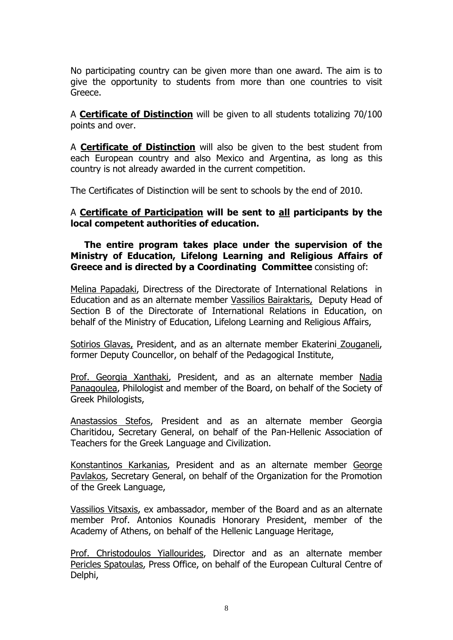No participating country can be given more than one award. The aim is to give the opportunity to students from more than one countries to visit Greece.

A **Certificate of Distinction** will be given to all students totalizing 70/100 points and over.

A **Certificate of Distinction** will also be given to the best student from each European country and also Mexico and Argentina, as long as this country is not already awarded in the current competition.

The Certificates of Distinction will be sent to schools by the end of 2010.

## A **Certificate of Participation will be sent to all participants by the local competent authorities of education.**

**The entire program takes place under the supervision of the Ministry of Education, Lifelong Learning and Religious Affairs of Greece and is directed by a Coordinating Committee** consisting of:

Μelina Papadaki, Directress of the Directorate of International Relations in Education and as an alternate member Vassilios Bairaktaris, Deputy Head of Section B of the Directorate of International Relations in Education, on behalf of the Ministry of Education, Lifelong Learning and Religious Affairs,

Sotirios Glavas, President, and as an alternate member Ekaterini Zouganeli, former Deputy Councellor, on behalf of the Pedagogical Institute,

Prof. Georgia Xanthaki, President, and as an alternate member Nadia Panagoulea, Philologist and member of the Board, on behalf of the Society of Greek Philologists,

Anastassios Stefos, President and as an alternate member Georgia Charitidou, Secretary General, on behalf of the Pan-Hellenic Association of Teachers for the Greek Language and Civilization.

Konstantinos Karkanias, President and as an alternate member George Pavlakos, Secretary General, on behalf of the Organization for the Promotion of the Greek Language,

Vassilios Vitsaxis, ex ambassador, member of the Board and as an alternate member Prof. Antonios Kounadis Honorary President, member of the Academy of Athens, on behalf of the Hellenic Language Heritage,

Prof. Christodoulos Yiallourides, Director and as an alternate member Pericles Spatoulas, Press Office, on behalf of the European Cultural Centre of Delphi,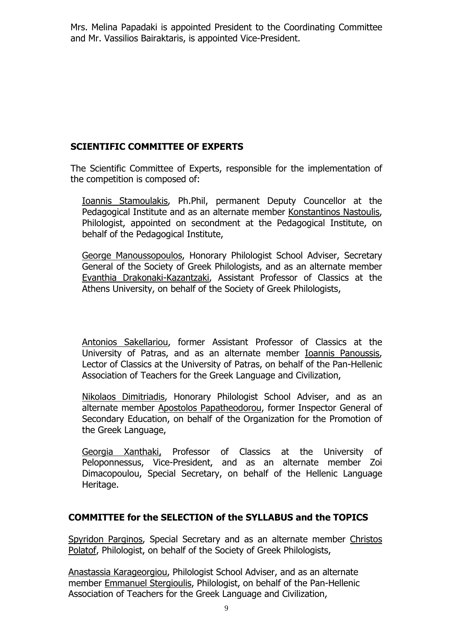Mrs. Melina Papadaki is appointed President to the Coordinating Committee and Mr. Vassilios Bairaktaris, is appointed Vice-President.

## **SCIENTIFIC COMMITTEE OF EXPERTS**

The Scientific Committee of Experts, responsible for the implementation of the competition is composed of:

Ioannis Stamoulakis, Ph.Phil, permanent Deputy Councellor at the Pedagogical Institute and as an alternate member Konstantinos Nastoulis, Philologist, appointed on secondment at the Pedagogical Institute, on behalf of the Pedagogical Institute,

George Manoussopoulos, Honorary Philologist School Adviser, Secretary General of the Society of Greek Philologists, and as an alternate member Evanthia Drakonaki-Kazantzaki, Assistant Professor of Classics at the Athens University, on behalf of the Society of Greek Philologists,

Antonios Sakellariou, former Assistant Professor of Classics at the University of Patras, and as an alternate member Ioannis Panoussis, Lector of Classics at the University of Patras, on behalf of the Pan-Hellenic Association of Teachers for the Greek Language and Civilization,

Nikolaos Dimitriadis, Honorary Philologist School Adviser, and as an alternate member Apostolos Papatheodorou, former Inspector General of Secondary Education, on behalf of the Organization for the Promotion of the Greek Language,

Georgia Xanthaki, Professor of Classics at the University of Peloponnessus, Vice-President, and as an alternate member Zoi Dimacopoulou, Special Secretary, on behalf of the Hellenic Language Heritage.

## **COMMITTEE for the SELECTION of the SYLLABUS and the TOPICS**

Spyridon Parginos, Special Secretary and as an alternate member Christos Polatof, Philologist, on behalf of the Society of Greek Philologists,

Anastassia Karageorgiou, Philologist School Adviser, and as an alternate member Emmanuel Stergioulis, Philologist, on behalf of the Pan-Hellenic Association of Teachers for the Greek Language and Civilization,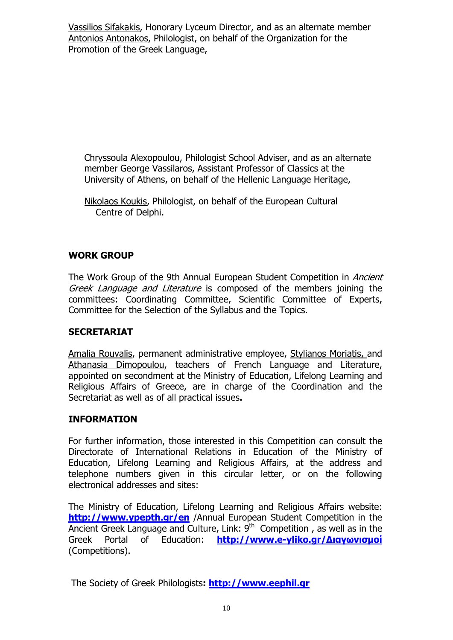Vassilios Sifakakis, Honorary Lyceum Director, and as an alternate member Antonios Antonakos, Philologist, on behalf of the Organization for the Promotion of the Greek Language,

Chryssoula Alexopoulou, Philologist School Adviser, and as an alternate member George Vassilaros, Assistant Professor of Classics at the University of Athens, on behalf of the Hellenic Language Heritage,

## **WORK GROUP**

The Work Group of the 9th Annual European Student Competition in *Ancient* Greek Language and Literature is composed of the members joining the committees: Coordinating Committee, Scientific Committee of Experts, Committee for the Selection of the Syllabus and the Topics.

## **SECRETARIAT**

Amalia Rouvalis, permanent administrative employee, Stylianos Moriatis, and Athanasia Dimopoulou, teachers of French Language and Literature, appointed on secondment at the Ministry of Education, Lifelong Learning and Religious Affairs of Greece, are in charge of the Coordination and the Secretariat as well as of all practical issues**.**

## **INFORMATION**

For further information, those interested in this Competition can consult the Directorate of International Relations in Education of the Ministry of Education, Lifelong Learning and Religious Affairs, at the address and telephone numbers given in this circular letter, or on the following electronical addresses and sites:

The Ministry of Education, Lifelong Learning and Religious Affairs website: **<http://www.ypepth.gr/en>** /Annual European Student Competition in the Ancient Greek Language and Culture, Link:  $9<sup>th</sup>$  Competition, as well as in the Greek Portal of Education: **[http://www.e-yliko.gr/](http://www.e-yliko.gr/%CE%94%CE%B9%CE%B1%CE%B3%CF%89%CE%BD%CE%B9%CF%83%CE%BC%CE%BF%CE%AF)Διαγωνισμοί** (Competitions).

The Society of Greek Philologists**: [http://www.eephil.gr](http://www.eephil.gr/)**

Nikolaos Koukis, Philologist, on behalf of the European Cultural Centre of Delphi.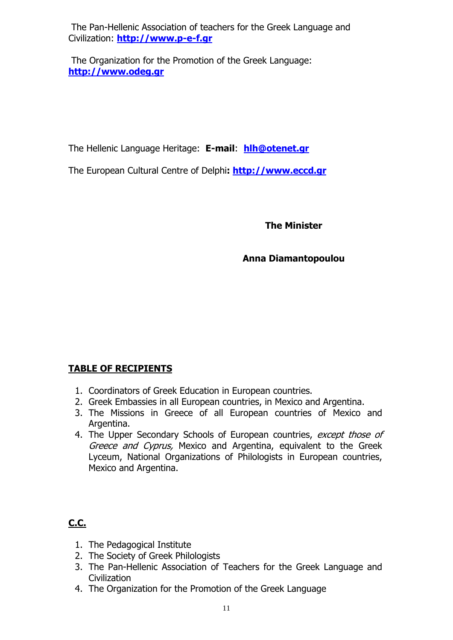The Pan-Hellenic Association of teachers for the Greek Language and Civilization: **[http://www.p-e-f.gr](http://www.p-e-f.gr/)**

 The Organization for the Promotion of the Greek Language: **[http://www.odeg.gr](http://www.odeg.gr/)**

The Hellenic Language Heritage: **E-mail**: **[hlh@otenet.gr](mailto:hlh@otenet.gr)**

The European Cultural Centre of Delphi**: [http://www.eccd.gr](http://www.eccd.gr/)**

**The Minister** 

## **Anna Diamantopoulou**

# **TABLE OF RECIPIENTS**

- 1. Coordinators of Greek Education in European countries.
- 2. Greek Embassies in all European countries, in Mexico and Argentina.
- 3. The Missions in Greece of all European countries of Mexico and Argentina.
- 4. The Upper Secondary Schools of European countries, except those of Greece and Cyprus, Mexico and Argentina, equivalent to the Greek Lyceum, National Organizations of Philologists in European countries, Mexico and Argentina.

# **C.C.**

- 1. The Pedagogical Institute
- 2. The Society of Greek Philologists
- 3. The Pan-Hellenic Association of Teachers for the Greek Language and **Civilization**
- 4. The Organization for the Promotion of the Greek Language